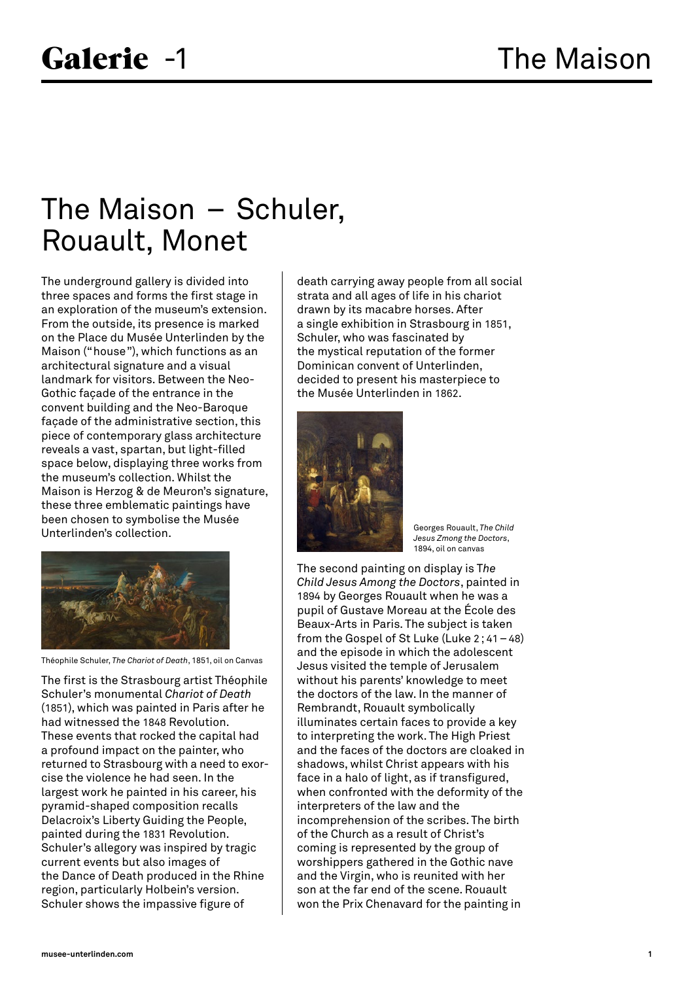## The Maison – Schuler, Rouault, Monet

The underground gallery is divided into three spaces and forms the first stage in an exploration of the museum's extension. From the outside, its presence is marked on the Place du Musée Unterlinden by the Maison ("house"), which functions as an architectural signature and a visual landmark for visitors. Between the Neo-Gothic façade of the entrance in the convent building and the Neo-Baroque façade of the administrative section, this piece of contemporary glass architecture reveals a vast, spartan, but light-filled space below, displaying three works from the museum's collection. Whilst the Maison is Herzog & de Meuron's signature, these three emblematic paintings have been chosen to symbolise the Musée Unterlinden's collection.



Théophile Schuler, *The Chariot of Death*, 1851, oil on Canvas

The first is the Strasbourg artist Théophile Schuler's monumental *Chariot of Death*  (1851), which was painted in Paris after he had witnessed the 1848 Revolution. These events that rocked the capital had a profound impact on the painter, who returned to Strasbourg with a need to exorcise the violence he had seen. In the largest work he painted in his career, his pyramid-shaped composition recalls Delacroix's Liberty Guiding the People, painted during the 1831 Revolution. Schuler's allegory was inspired by tragic current events but also images of the Dance of Death produced in the Rhine region, particularly Holbein's version. Schuler shows the impassive figure of

death carrying away people from all social strata and all ages of life in his chariot drawn by its macabre horses. After a single exhibition in Strasbourg in 1851, Schuler, who was fascinated by the mystical reputation of the former Dominican convent of Unterlinden, decided to present his masterpiece to the Musée Unterlinden in 1862.



Georges Rouault, *The Child Jesus Zmong the Doctors*, 1894, oil on canvas

The second painting on display is T*he Child Jesus Among the Doctors*, painted in 1894 by Georges Rouault when he was a pupil of Gustave Moreau at the École des Beaux-Arts in Paris. The subject is taken from the Gospel of St Luke (Luke 2; 41–48) and the episode in which the adolescent Jesus visited the temple of Jerusalem without his parents' knowledge to meet the doctors of the law. In the manner of Rembrandt, Rouault symbolically illuminates certain faces to provide a key to interpreting the work. The High Priest and the faces of the doctors are cloaked in shadows, whilst Christ appears with his face in a halo of light, as if transfigured, when confronted with the deformity of the interpreters of the law and the incomprehension of the scribes. The birth of the Church as a result of Christ's coming is represented by the group of worshippers gathered in the Gothic nave and the Virgin, who is reunited with her son at the far end of the scene. Rouault won the Prix Chenavard for the painting in